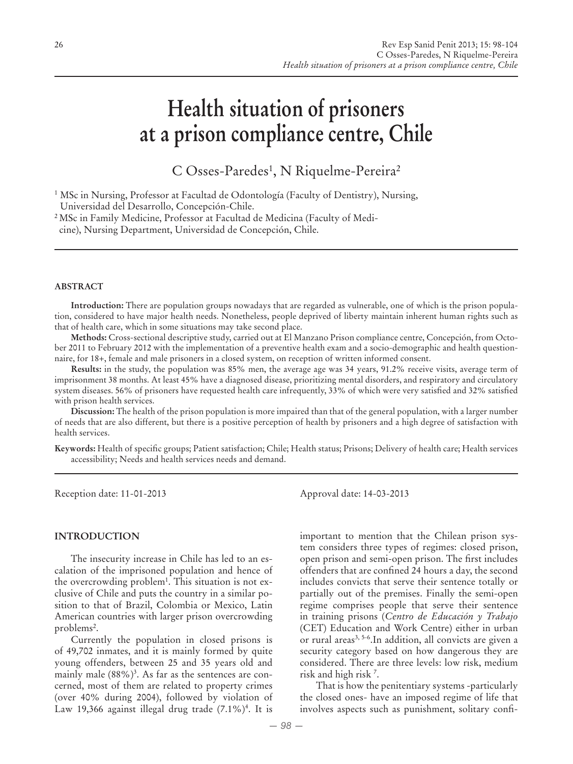# **Health situation of prisoners at a prison compliance centre, Chile**

C Osses-Paredes<sup>1</sup>, N Riquelme-Pereira<sup>2</sup>

2 MSc in Family Medicine, Professor at Facultad de Medicina (Faculty of Medicine), Nursing Department, Universidad de Concepción, Chile.

#### **ABSTRACT**

**Introduction:** There are population groups nowadays that are regarded as vulnerable, one of which is the prison population, considered to have major health needs. Nonetheless, people deprived of liberty maintain inherent human rights such as that of health care, which in some situations may take second place.

**Methods:** Cross-sectional descriptive study, carried out at El Manzano Prison compliance centre, Concepción, from October 2011 to February 2012 with the implementation of a preventive health exam and a socio-demographic and health questionnaire, for 18+, female and male prisoners in a closed system, on reception of written informed consent.

**Results:** in the study, the population was 85% men, the average age was 34 years, 91.2% receive visits, average term of imprisonment 38 months. At least 45% have a diagnosed disease, prioritizing mental disorders, and respiratory and circulatory system diseases. 56% of prisoners have requested health care infrequently, 33% of which were very satisfied and 32% satisfied with prison health services.

**Discussion:** The health of the prison population is more impaired than that of the general population, with a larger number of needs that are also different, but there is a positive perception of health by prisoners and a high degree of satisfaction with health services.

**Keywords:** Health of specific groups; Patient satisfaction; Chile; Health status; Prisons; Delivery of health care; Health services accessibility; Needs and health services needs and demand.

Reception date: 11-01-2013 Approval date: 14-03-2013

#### **INTRODUCTION**

The insecurity increase in Chile has led to an escalation of the imprisoned population and hence of the overcrowding problem<sup>1</sup>. This situation is not exclusive of Chile and puts the country in a similar position to that of Brazil, Colombia or Mexico, Latin American countries with larger prison overcrowding problems<sup>2</sup>.

Currently the population in closed prisons is of 49,702 inmates, and it is mainly formed by quite young offenders, between 25 and 35 years old and mainly male (88%)3 . As far as the sentences are concerned, most of them are related to property crimes (over 40% during 2004), followed by violation of Law 19,366 against illegal drug trade (7.1%)<sup>4</sup>. It is

important to mention that the Chilean prison system considers three types of regimes: closed prison, open prison and semi-open prison. The first includes offenders that are confined 24 hours a day, the second includes convicts that serve their sentence totally or partially out of the premises. Finally the semi-open regime comprises people that serve their sentence in training prisons (*Centro de Educación y Trabajo*  (CET) Education and Work Centre) either in urban or rural areas<sup>3, 5-6</sup>. In addition, all convicts are given a security category based on how dangerous they are considered. There are three levels: low risk, medium risk and high risk 7 .

That is how the penitentiary systems -particularly the closed ones- have an imposed regime of life that involves aspects such as punishment, solitary confi-

<sup>1</sup> MSc in Nursing, Professor at Facultad de Odontología (Faculty of Dentistry), Nursing, Universidad del Desarrollo, Concepción-Chile.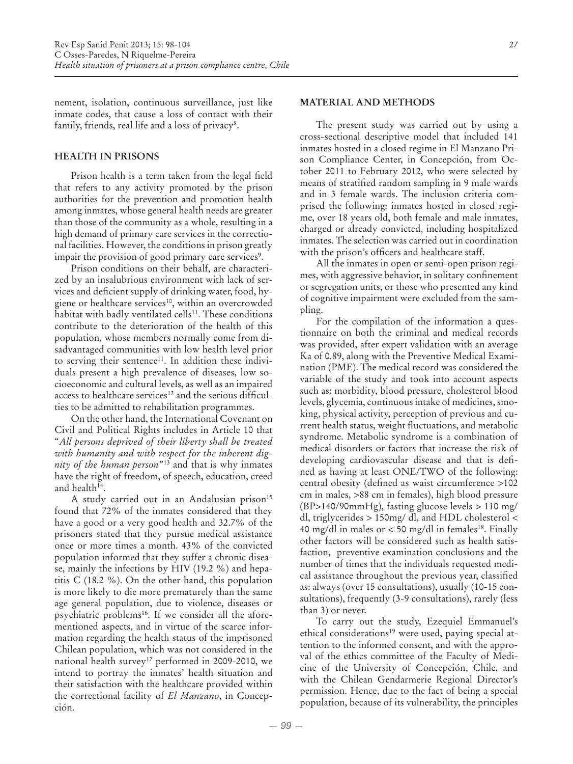nement, isolation, continuous surveillance, just like inmate codes, that cause a loss of contact with their family, friends, real life and a loss of privacy<sup>8</sup>.

### **HEALTH IN PRISONS**

Prison health is a term taken from the legal field that refers to any activity promoted by the prison authorities for the prevention and promotion health among inmates, whose general health needs are greater than those of the community as a whole, resulting in a high demand of primary care services in the correctional facilities. However, the conditions in prison greatly impair the provision of good primary care services<sup>9</sup>.

Prison conditions on their behalf, are characterized by an insalubrious environment with lack of services and deficient supply of drinking water, food, hygiene or healthcare services<sup>10</sup>, within an overcrowded habitat with badly ventilated cells<sup>11</sup>. These conditions contribute to the deterioration of the health of this population, whose members normally come from disadvantaged communities with low health level prior to serving their sentence<sup>11</sup>. In addition these individuals present a high prevalence of diseases, low socioeconomic and cultural levels, as well as an impaired access to healthcare services<sup>12</sup> and the serious difficulties to be admitted to rehabilitation programmes.

On the other hand, the International Covenant on Civil and Political Rights includes in Article 10 that "*All persons deprived of their liberty shall be treated with humanity and with respect for the inherent dignity of the human person*"13 and that is why inmates have the right of freedom, of speech, education, creed and health<sup>14</sup>.

A study carried out in an Andalusian prison<sup>15</sup> found that 72% of the inmates considered that they have a good or a very good health and 32.7% of the prisoners stated that they pursue medical assistance once or more times a month. 43% of the convicted population informed that they suffer a chronic disease, mainly the infections by HIV (19.2 %) and hepatitis C (18.2 %). On the other hand, this population is more likely to die more prematurely than the same age general population, due to violence, diseases or psychiatric problems<sup>16</sup>. If we consider all the aforementioned aspects, and in virtue of the scarce information regarding the health status of the imprisoned Chilean population, which was not considered in the national health survey<sup>17</sup> performed in 2009-2010, we intend to portray the inmates' health situation and their satisfaction with the healthcare provided within the correctional facility of *El Manzano*, in Concepción.

## **MATERIAL AND METHODS**

The present study was carried out by using a cross-sectional descriptive model that included 141 inmates hosted in a closed regime in El Manzano Prison Compliance Center, in Concepción, from October 2011 to February 2012, who were selected by means of stratified random sampling in 9 male wards and in 3 female wards. The inclusion criteria comprised the following: inmates hosted in closed regime, over 18 years old, both female and male inmates, charged or already convicted, including hospitalized inmates. The selection was carried out in coordination with the prison's officers and healthcare staff.

All the inmates in open or semi-open prison regimes, with aggressive behavior, in solitary confinement or segregation units, or those who presented any kind of cognitive impairment were excluded from the sampling.

For the compilation of the information a questionnaire on both the criminal and medical records was provided, after expert validation with an average Ka of 0.89, along with the Preventive Medical Examination (PME). The medical record was considered the variable of the study and took into account aspects such as: morbidity, blood pressure, cholesterol blood levels, glycemia, continuous intake of medicines, smoking, physical activity, perception of previous and current health status, weight fluctuations, and metabolic syndrome. Metabolic syndrome is a combination of medical disorders or factors that increase the risk of developing cardiovascular disease and that is defined as having at least ONE/TWO of the following: central obesity (defined as waist circumference >102 cm in males, >88 cm in females), high blood pressure (BP>140/90mmHg), fasting glucose levels > 110 mg/ dl, triglycerides > 150mg/ dl, and HDL cholesterol < 40 mg/dl in males or  $<$  50 mg/dl in females<sup>18</sup>. Finally other factors will be considered such as health satisfaction, preventive examination conclusions and the number of times that the individuals requested medical assistance throughout the previous year, classified as: always (over 15 consultations), usually (10-15 consultations), frequently (3-9 consultations), rarely (less than 3) or never.

To carry out the study, Ezequiel Emmanuel's ethical considerations<sup>19</sup> were used, paying special attention to the informed consent, and with the approval of the ethics committee of the Faculty of Medicine of the University of Concepción, Chile, and with the Chilean Gendarmerie Regional Director's permission. Hence, due to the fact of being a special population, because of its vulnerability, the principles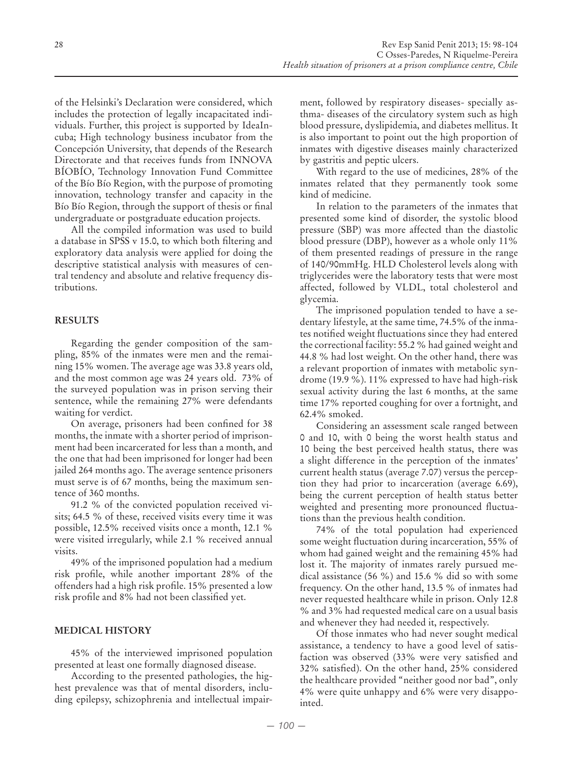of the Helsinki's Declaration were considered, which includes the protection of legally incapacitated individuals. Further, this project is supported by IdeaIncuba; High technology business incubator from the Concepción University, that depends of the Research Directorate and that receives funds from INNOVA BÍOBÍO, Technology Innovation Fund Committee of the Bío Bío Region, with the purpose of promoting innovation, technology transfer and capacity in the Bío Bío Region, through the support of thesis or final undergraduate or postgraduate education projects.

All the compiled information was used to build a database in SPSS v 15.0, to which both filtering and exploratory data analysis were applied for doing the descriptive statistical analysis with measures of central tendency and absolute and relative frequency distributions.

## **RESULTS**

Regarding the gender composition of the sampling, 85% of the inmates were men and the remaining 15% women. The average age was 33.8 years old, and the most common age was 24 years old. 73% of the surveyed population was in prison serving their sentence, while the remaining 27% were defendants waiting for verdict.

On average, prisoners had been confined for 38 months, the inmate with a shorter period of imprisonment had been incarcerated for less than a month, and the one that had been imprisoned for longer had been jailed 264 months ago. The average sentence prisoners must serve is of 67 months, being the maximum sentence of 360 months.

91.2 % of the convicted population received visits; 64.5 % of these, received visits every time it was possible, 12.5% received visits once a month, 12.1 % were visited irregularly, while 2.1 % received annual visits.

49% of the imprisoned population had a medium risk profile, while another important 28% of the offenders had a high risk profile. 15% presented a low risk profile and 8% had not been classified yet.

## **MEDICAL HISTORY**

45% of the interviewed imprisoned population presented at least one formally diagnosed disease.

According to the presented pathologies, the highest prevalence was that of mental disorders, including epilepsy, schizophrenia and intellectual impairment, followed by respiratory diseases- specially asthma- diseases of the circulatory system such as high blood pressure, dyslipidemia, and diabetes mellitus. It is also important to point out the high proportion of inmates with digestive diseases mainly characterized by gastritis and peptic ulcers.

With regard to the use of medicines, 28% of the inmates related that they permanently took some kind of medicine.

In relation to the parameters of the inmates that presented some kind of disorder, the systolic blood pressure (SBP) was more affected than the diastolic blood pressure (DBP), however as a whole only 11% of them presented readings of pressure in the range of 140/90mmHg. HLD Cholesterol levels along with triglycerides were the laboratory tests that were most affected, followed by VLDL, total cholesterol and glycemia.

The imprisoned population tended to have a sedentary lifestyle, at the same time, 74.5% of the inmates notified weight fluctuations since they had entered the correctional facility: 55.2 % had gained weight and 44.8 % had lost weight. On the other hand, there was a relevant proportion of inmates with metabolic syndrome (19.9 %). 11% expressed to have had high-risk sexual activity during the last 6 months, at the same time 17% reported coughing for over a fortnight, and 62.4% smoked.

Considering an assessment scale ranged between 0 and 10, with 0 being the worst health status and 10 being the best perceived health status, there was a slight difference in the perception of the inmates' current health status (average 7.07) versus the perception they had prior to incarceration (average 6.69), being the current perception of health status better weighted and presenting more pronounced fluctuations than the previous health condition.

74% of the total population had experienced some weight fluctuation during incarceration, 55% of whom had gained weight and the remaining 45% had lost it. The majority of inmates rarely pursued medical assistance (56 %) and 15.6 % did so with some frequency. On the other hand, 13.5 % of inmates had never requested healthcare while in prison. Only 12.8 % and 3% had requested medical care on a usual basis and whenever they had needed it, respectively.

Of those inmates who had never sought medical assistance, a tendency to have a good level of satisfaction was observed (33% were very satisfied and 32% satisfied). On the other hand, 25% considered the healthcare provided "neither good nor bad", only 4% were quite unhappy and 6% were very disappointed.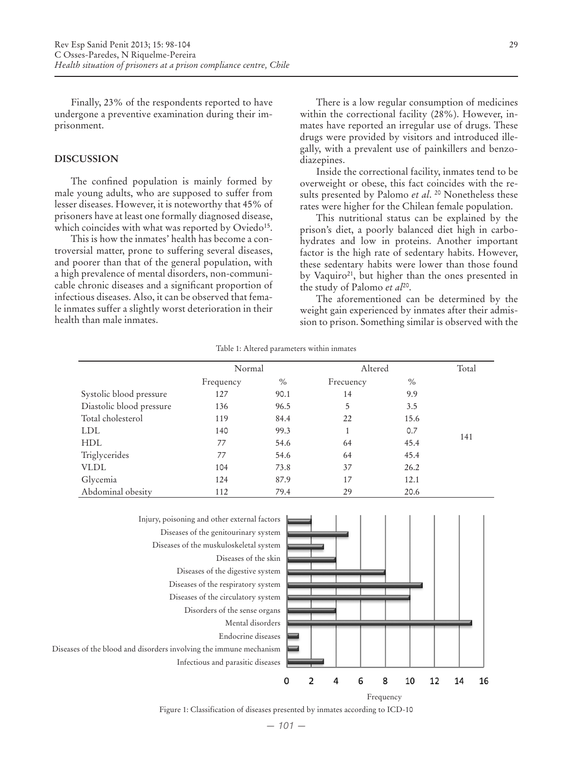Finally, 23% of the respondents reported to have undergone a preventive examination during their imprisonment.

#### **DISCUSSION**

The confined population is mainly formed by male young adults, who are supposed to suffer from lesser diseases. However, it is noteworthy that 45% of prisoners have at least one formally diagnosed disease, which coincides with what was reported by Oviedo<sup>15</sup>.

This is how the inmates' health has become a controversial matter, prone to suffering several diseases, and poorer than that of the general population, with a high prevalence of mental disorders, non-communicable chronic diseases and a significant proportion of infectious diseases. Also, it can be observed that female inmates suffer a slightly worst deterioration in their health than male inmates.

There is a low regular consumption of medicines within the correctional facility (28%). However, inmates have reported an irregular use of drugs. These drugs were provided by visitors and introduced illegally, with a prevalent use of painkillers and benzodiazepines.

Inside the correctional facility, inmates tend to be overweight or obese, this fact coincides with the results presented by Palomo *et al*. 20 Nonetheless these rates were higher for the Chilean female population.

This nutritional status can be explained by the prison's diet, a poorly balanced diet high in carbohydrates and low in proteins. Another important factor is the high rate of sedentary habits. However, these sedentary habits were lower than those found by Vaquiro<sup>21</sup>, but higher than the ones presented in the study of Palomo *et al*20.

The aforementioned can be determined by the weight gain experienced by inmates after their admission to prison. Something similar is observed with the

Table 1: Altered parameters within inmates

|                          | Normal    |      | Altered   |      | Total |
|--------------------------|-----------|------|-----------|------|-------|
|                          | Frequency | $\%$ | Frecuency | $\%$ |       |
| Systolic blood pressure  | 127       | 90.1 | 14        | 9.9  |       |
| Diastolic blood pressure | 136       | 96.5 | 5         | 3.5  |       |
| Total cholesterol        | 119       | 84.4 | 22        | 15.6 |       |
| <b>LDL</b>               | 140       | 99.3 |           | 0.7  |       |
| <b>HDL</b>               | 77        | 54.6 | 64        | 45.4 | 141   |
| Triglycerides            | 77        | 54.6 | 64        | 45.4 |       |
| <b>VLDL</b>              | 104       | 73.8 | 37        | 26.2 |       |
| Glycemia                 | 124       | 87.9 | 17        | 12.1 |       |
| Abdominal obesity        | 112       | 79.4 | 29        | 20.6 |       |



Frequency

Figure 1: Classification of diseases presented by inmates according to ICD-10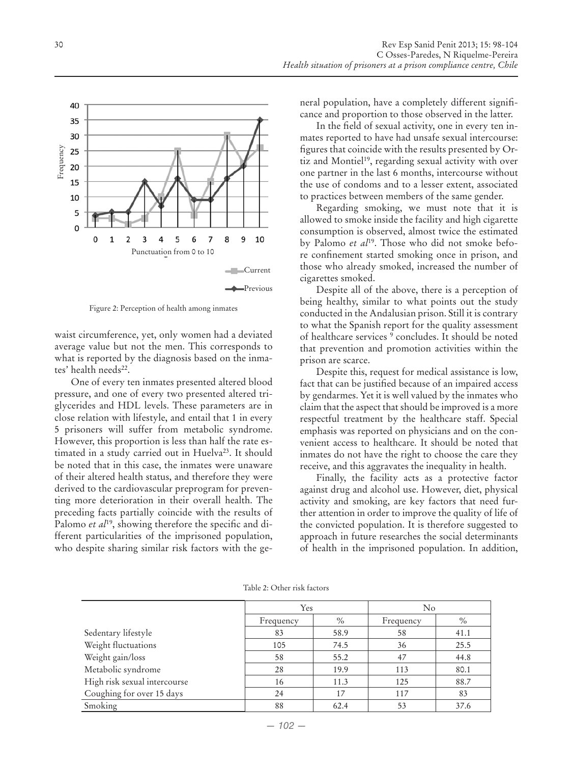

Figure 2: Perception of health among inmates

waist circumference, yet, only women had a deviated average value but not the men. This corresponds to what is reported by the diagnosis based on the inmates' health needs<sup>22</sup>.

One of every ten inmates presented altered blood pressure, and one of every two presented altered triglycerides and HDL levels. These parameters are in close relation with lifestyle, and entail that 1 in every 5 prisoners will suffer from metabolic syndrome. However, this proportion is less than half the rate estimated in a study carried out in Huelva<sup>23</sup>. It should be noted that in this case, the inmates were unaware of their altered health status, and therefore they were derived to the cardiovascular preprogram for preventing more deterioration in their overall health. The preceding facts partially coincide with the results of Palomo *et al*<sup>19</sup>, showing therefore the specific and different particularities of the imprisoned population, who despite sharing similar risk factors with the general population, have a completely different significance and proportion to those observed in the latter.

In the field of sexual activity, one in every ten inmates reported to have had unsafe sexual intercourse: figures that coincide with the results presented by Ortiz and Montiel<sup>19</sup>, regarding sexual activity with over one partner in the last 6 months, intercourse without the use of condoms and to a lesser extent, associated to practices between members of the same gender.

Regarding smoking, we must note that it is allowed to smoke inside the facility and high cigarette consumption is observed, almost twice the estimated by Palomo *et al*19. Those who did not smoke before confinement started smoking once in prison, and those who already smoked, increased the number of cigarettes smoked.

Despite all of the above, there is a perception of being healthy, similar to what points out the study conducted in the Andalusian prison. Still it is contrary to what the Spanish report for the quality assessment of healthcare services <sup>9</sup> concludes. It should be noted that prevention and promotion activities within the prison are scarce.

Despite this, request for medical assistance is low, fact that can be justified because of an impaired access by gendarmes. Yet it is well valued by the inmates who claim that the aspect that should be improved is a more respectful treatment by the healthcare staff. Special emphasis was reported on physicians and on the convenient access to healthcare. It should be noted that inmates do not have the right to choose the care they receive, and this aggravates the inequality in health.

Finally, the facility acts as a protective factor against drug and alcohol use. However, diet, physical activity and smoking, are key factors that need further attention in order to improve the quality of life of the convicted population. It is therefore suggested to approach in future researches the social determinants of health in the imprisoned population. In addition,

|                              | Yes       |      | $\rm No$  |      |
|------------------------------|-----------|------|-----------|------|
|                              | Frequency | $\%$ | Frequency | $\%$ |
| Sedentary lifestyle          | 83        | 58.9 | 58        | 41.1 |
| Weight fluctuations          | 105       | 74.5 | 36        | 25.5 |
| Weight gain/loss             | 58        | 55.2 | 47        | 44.8 |
| Metabolic syndrome           | 28        | 19.9 | 113       | 80.1 |
| High risk sexual intercourse | 16        | 11.3 | 125       | 88.7 |
| Coughing for over 15 days    | 24        | 17   | 117       | 83   |
| Smoking                      | 88        | 62.4 | 53        | 37.6 |

Table 2: Other risk factors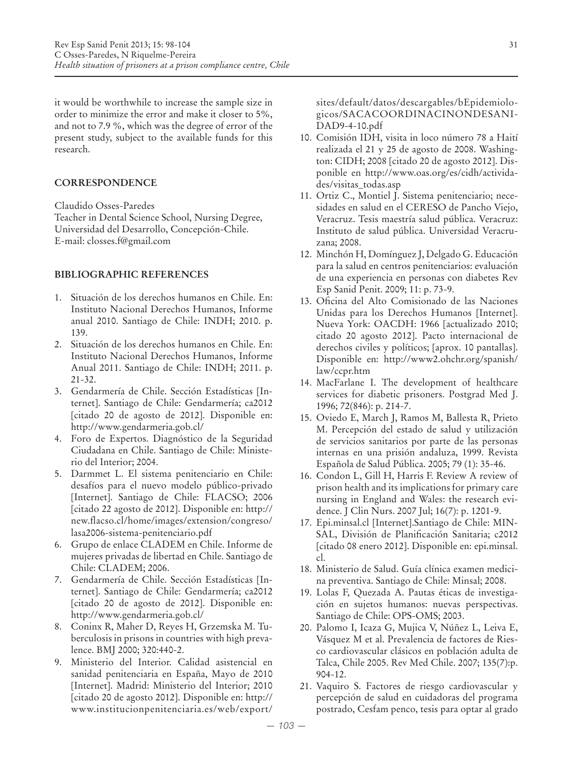it would be worthwhile to increase the sample size in order to minimize the error and make it closer to 5%, and not to 7.9 %, which was the degree of error of the present study, subject to the available funds for this research.

## **CORRESPONDENCE**

Claudido Osses-Paredes

Teacher in Dental Science School, Nursing Degree, Universidad del Desarrollo, Concepción-Chile. E-mail: closses.f@gmail.com

# **BIBLIOGRAPHIC REFERENCES**

- 1. Situación de los derechos humanos en Chile. En: Instituto Nacional Derechos Humanos, Informe anual 2010. Santiago de Chile: INDH; 2010. p. 139.
- 2. Situación de los derechos humanos en Chile. En: Instituto Nacional Derechos Humanos, Informe Anual 2011. Santiago de Chile: INDH; 2011. p. 21-32.
- 3. Gendarmería de Chile. Sección Estadísticas [Internet]. Santiago de Chile: Gendarmería; ca2012 [citado 20 de agosto de 2012]. Disponible en: http://www.gendarmeria.gob.cl/
- 4. Foro de Expertos. Diagnóstico de la Seguridad Ciudadana en Chile. Santiago de Chile: Ministerio del Interior; 2004.
- 5. Darmmet L. El sistema penitenciario en Chile: desafíos para el nuevo modelo público-privado [Internet]. Santiago de Chile: FLACSO; 2006 [citado 22 agosto de 2012]. Disponible en: http:// new.flacso.cl/home/images/extension/congreso/ lasa2006-sistema-penitenciario.pdf
- 6. Grupo de enlace CLADEM en Chile. Informe de mujeres privadas de libertad en Chile. Santiago de Chile: CLADEM; 2006.
- 7. Gendarmería de Chile. Sección Estadísticas [Internet]. Santiago de Chile: Gendarmería; ca2012 [citado 20 de agosto de 2012]. Disponible en: http://www.gendarmeria.gob.cl/
- 8. Coninx R, Maher D, Reyes H, Grzemska M. Tuberculosis in prisons in countries with high prevalence. BMJ 2000; 320:440-2.
- 9. Ministerio del Interior. Calidad asistencial en sanidad penitenciaria en España, Mayo de 2010 [Internet]. Madrid: Ministerio del Interior; 2010 [citado 20 de agosto 2012]. Disponible en: http:// www.institucionpenitenciaria.es/web/export/

sites/default/datos/descargables/bEpidemiologicos/SACACOORDINACINONDESANI-DAD9-4-10.pdf

- 10. Comisión IDH, visita in loco número 78 a Haití realizada el 21 y 25 de agosto de 2008. Washington: CIDH; 2008 [citado 20 de agosto 2012]. Disponible en http://www.oas.org/es/cidh/actividades/visitas\_todas.asp
- 11. Ortiz C., Montiel J. Sistema penitenciario; necesidades en salud en el CERESO de Pancho Viejo, Veracruz. Tesis maestría salud pública. Veracruz: Instituto de salud pública. Universidad Veracruzana; 2008.
- 12. Minchón H, Domínguez J, Delgado G. Educación para la salud en centros penitenciarios: evaluación de una experiencia en personas con diabetes Rev Esp Sanid Penit. 2009; 11: p. 73-9.
- 13. Oficina del Alto Comisionado de las Naciones Unidas para los Derechos Humanos [Internet]. Nueva York: OACDH: 1966 [actualizado 2010; citado 20 agosto 2012]. Pacto internacional de derechos civiles y políticos; [aprox. 10 pantallas]. Disponible en: http://www2.ohchr.org/spanish/ law/ccpr.htm
- 14. MacFarlane I. The development of healthcare services for diabetic prisoners. Postgrad Med J. 1996; 72(846): p. 214-7.
- 15. Oviedo E, March J, Ramos M, Ballesta R, Prieto M. Percepción del estado de salud y utilización de servicios sanitarios por parte de las personas internas en una prisión andaluza, 1999. Revista Española de Salud Pública. 2005; 79 (1): 35-46.
- 16. Condon L, Gill H, Harris F. Review A review of prison health and its implications for primary care nursing in England and Wales: the research evidence. J Clin Nurs. 2007 Jul; 16(7): p. 1201-9.
- 17. Epi.minsal.cl [Internet].Santiago de Chile: MIN-SAL, División de Planificación Sanitaria; c2012 [citado 08 enero 2012]. Disponible en: epi.minsal. cl.
- 18. Ministerio de Salud. Guía clínica examen medicina preventiva. Santiago de Chile: Minsal; 2008.
- 19. Lolas F, Quezada A. Pautas éticas de investigación en sujetos humanos: nuevas perspectivas. Santiago de Chile: OPS-OMS; 2003.
- 20. Palomo I, Icaza G, Mujica V, Núñez L, Leiva E, Vásquez M et al. Prevalencia de factores de Riesco cardiovascular clásicos en población adulta de Talca, Chile 2005. Rev Med Chile. 2007; 135(7):p. 904-12.
- 21. Vaquiro S. Factores de riesgo cardiovascular y percepción de salud en cuidadoras del programa postrado, Cesfam penco, tesis para optar al grado